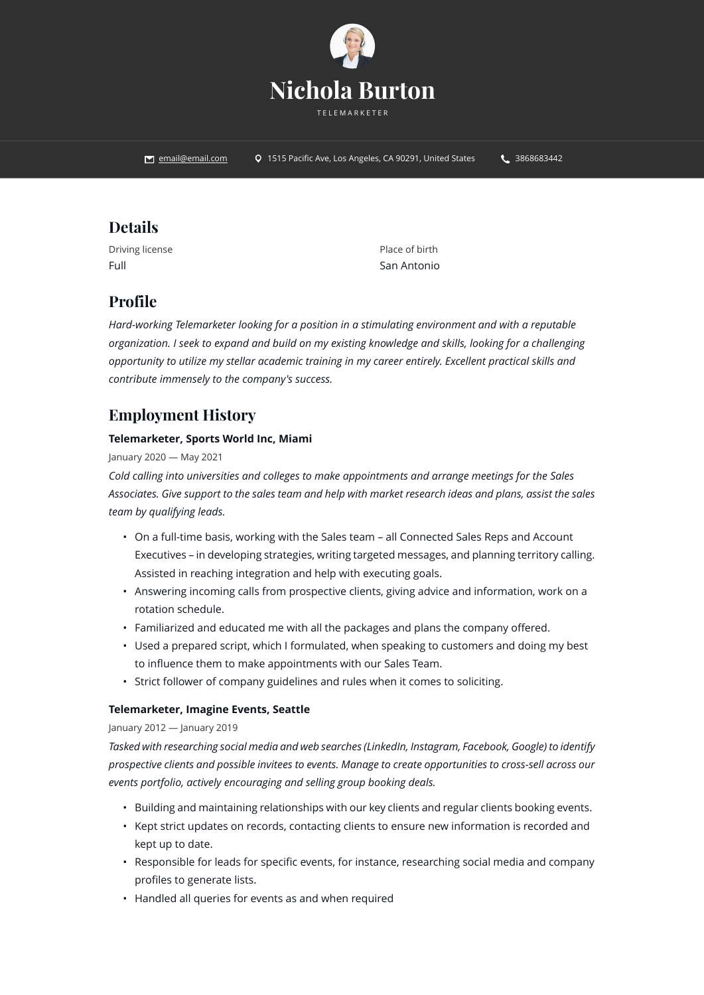

**Example 26 Part 20 Angeles, CA 90291, United States 15 Pacific Ave, Los Angeles, CA 90291, United States 4. 3868683442** 

## **Details**

Driving license Full

Place of birth San Antonio

## **Profile**

*Hard-working Telemarketer looking for a position in a stimulating environment and with a reputable organization. I seek to expand and build on my existing knowledge and skills, looking for a challenging opportunity to utilize my stellar academic training in my career entirely. Excellent practical skills and contribute immensely to the company's success.*

# **Employment History**

### **Telemarketer, Sports World Inc, Miami**

### January 2020 — May 2021

*Cold calling into universities and colleges to make appointments and arrange meetings for the Sales Associates. Give support to the sales team and help with market research ideas and plans, assist the sales team by qualifying leads.*

- On a full-time basis, working with the Sales team all Connected Sales Reps and Account Executives – in developing strategies, writing targeted messages, and planning territory calling. Assisted in reaching integration and help with executing goals.
- Answering incoming calls from prospective clients, giving advice and information, work on a rotation schedule.
- Familiarized and educated me with all the packages and plans the company offered.
- Used a prepared script, which I formulated, when speaking to customers and doing my best to influence them to make appointments with our Sales Team.
- Strict follower of company guidelines and rules when it comes to soliciting.

### **Telemarketer, Imagine Events, Seattle**

### January 2012 — January 2019

*Tasked with researching social media and web searches (LinkedIn, Instagram, Facebook, Google) to identify prospective clients and possible invitees to events. Manage to create opportunities to cross-sell across our events portfolio, actively encouraging and selling group booking deals.*

- Building and maintaining relationships with our key clients and regular clients booking events.
- Kept strict updates on records, contacting clients to ensure new information is recorded and kept up to date.
- Responsible for leads for specific events, for instance, researching social media and company profiles to generate lists.
- Handled all queries for events as and when required